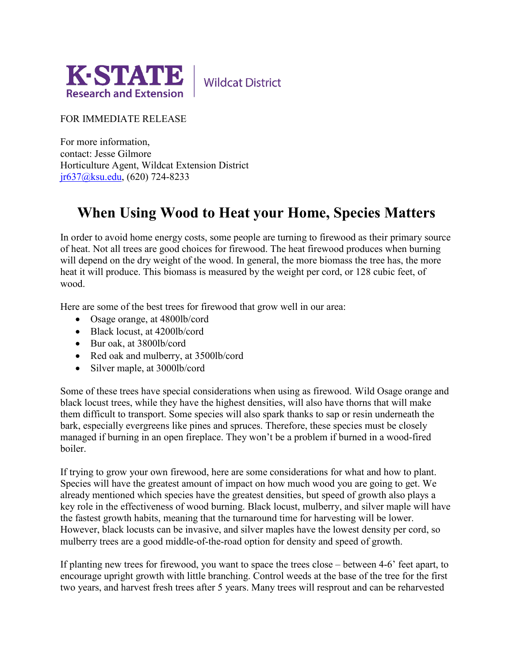

**Wildcat District** 

## FOR IMMEDIATE RELEASE

For more information, contact: Jesse Gilmore Horticulture Agent, Wildcat Extension District [jr637@ksu.edu,](mailto:jr637@ksu.edu) (620) 724-8233

## **When Using Wood to Heat your Home, Species Matters**

In order to avoid home energy costs, some people are turning to firewood as their primary source of heat. Not all trees are good choices for firewood. The heat firewood produces when burning will depend on the dry weight of the wood. In general, the more biomass the tree has, the more heat it will produce. This biomass is measured by the weight per cord, or 128 cubic feet, of wood.

Here are some of the best trees for firewood that grow well in our area:

- Osage orange, at 4800lb/cord
- Black locust, at 4200lb/cord
- Bur oak, at 3800lb/cord
- Red oak and mulberry, at 3500lb/cord
- Silver maple, at 3000lb/cord

Some of these trees have special considerations when using as firewood. Wild Osage orange and black locust trees, while they have the highest densities, will also have thorns that will make them difficult to transport. Some species will also spark thanks to sap or resin underneath the bark, especially evergreens like pines and spruces. Therefore, these species must be closely managed if burning in an open fireplace. They won't be a problem if burned in a wood-fired boiler.

If trying to grow your own firewood, here are some considerations for what and how to plant. Species will have the greatest amount of impact on how much wood you are going to get. We already mentioned which species have the greatest densities, but speed of growth also plays a key role in the effectiveness of wood burning. Black locust, mulberry, and silver maple will have the fastest growth habits, meaning that the turnaround time for harvesting will be lower. However, black locusts can be invasive, and silver maples have the lowest density per cord, so mulberry trees are a good middle-of-the-road option for density and speed of growth.

If planting new trees for firewood, you want to space the trees close – between 4-6' feet apart, to encourage upright growth with little branching. Control weeds at the base of the tree for the first two years, and harvest fresh trees after 5 years. Many trees will resprout and can be reharvested